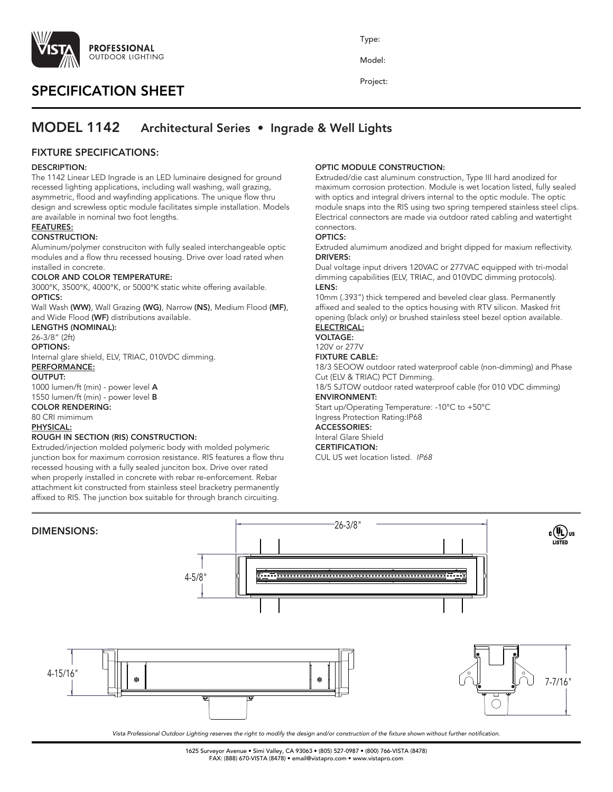

# SPECIFICATION SHEET

Type:

Model:

Project:

# MODEL 1142 Architectural Series • Ingrade & Well Lights

# FIXTURE SPECIFICATIONS:

## DESCRIPTION:

The 1142 Linear LED Ingrade is an LED luminaire designed for ground recessed lighting applications, including wall washing, wall grazing, asymmetric, flood and wayfinding applications. The unique flow thru design and screwless optic module facilitates simple installation. Models are available in nominal two foot lengths.

## FEATURES:

## CONSTRUCTION:

Aluminum/polymer construciton with fully sealed interchangeable optic modules and a flow thru recessed housing. Drive over load rated when installed in concrete.

### COLOR AND COLOR TEMPERATURE:

3000°K, 3500°K, 4000°K, or 5000°K static white offering available. OPTICS:

Wall Wash (WW), Wall Grazing (WG), Narrow (NS), Medium Flood (MF), and Wide Flood (WF) distributions available.

## LENGTHS (NOMINAL):

26-3/8" (2ft)

## OPTIONS:

Internal glare shield, ELV, TRIAC, 010VDC dimming. PERFORMANCE:

### OUTPUT:

1000 lumen/ft (min) - power level A 1550 lumen/ft (min) - power level B

## COLOR RENDERING:

80 CRI mimimum PHYSICAL:

## ROUGH IN SECTION (RIS) CONSTRUCTION:

Extruded/injection molded polymeric body with molded polymeric junction box for maximum corrosion resistance. RIS features a flow thru recessed housing with a fully sealed junciton box. Drive over rated when properly installed in concrete with rebar re-enforcement. Rebar attachment kit constructed from stainless steel bracketry permanently affixed to RIS. The junction box suitable for through branch circuiting.

## OPTIC MODULE CONSTRUCTION:

Extruded/die cast aluminum construction, Type III hard anodized for maximum corrosion protection. Module is wet location listed, fully sealed with optics and integral drivers internal to the optic module. The optic module snaps into the RIS using two spring tempered stainless steel clips. Electrical connectors are made via outdoor rated cabling and watertight connectors.

### OPTICS:

Extruded alumimum anodized and bright dipped for maxium reflectivity. DRIVERS:

Dual voltage input drivers 120VAC or 277VAC equipped with tri-modal dimming capabilities (ELV, TRIAC, and 010VDC dimming protocols). LENS:

10mm (.393") thick tempered and beveled clear glass. Permanently affixed and sealed to the optics housing with RTV silicon. Masked frit opening (black only) or brushed stainless steel bezel option available.

#### ELECTRICAL: VOLTAGE:

120V or 277V

## FIXTURE CABLE:

18/3 SEOOW outdoor rated waterproof cable (non-dimming) and Phase Cut (ELV & TRIAC) PCT Dimming.

18/5 SJTOW outdoor rated waterproof cable (for 010 VDC dimming) ENVIRONMENT:

Start up/Operating Temperature: -10°C to +50°C Ingress Protection Rating:IP68

#### ACCESSORIES: Interal Glare Shield

CERTIFICATION:

CUL US wet location listed. *IP68*